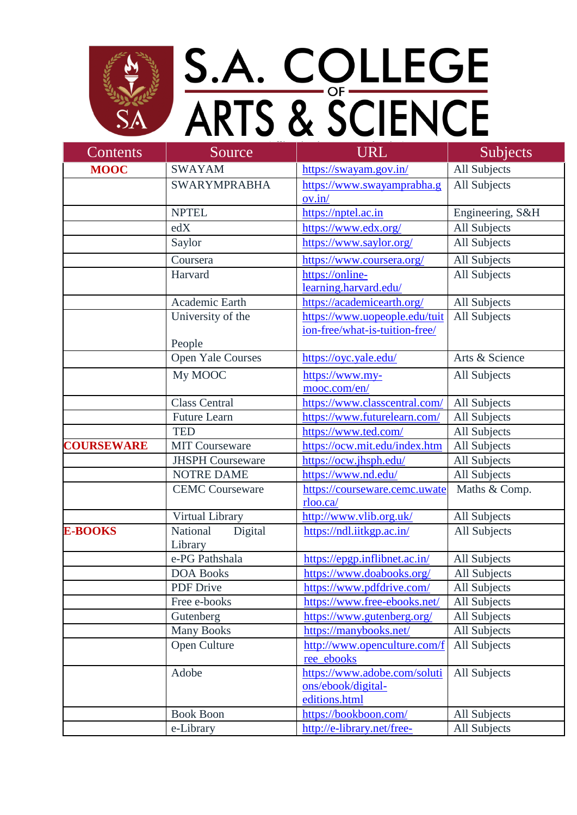

## S.A. COLLEGE<br>ARTS & SCIENCE

| Contents          | Source                   | <b>URL</b>                     | <b>Subjects</b>     |
|-------------------|--------------------------|--------------------------------|---------------------|
| <b>MOOC</b>       | <b>SWAYAM</b>            | https://swayam.gov.in/         | All Subjects        |
|                   | <b>SWARYMPRABHA</b>      | https://www.swayamprabha.g     | All Subjects        |
|                   |                          | ov.in/                         |                     |
|                   | <b>NPTEL</b>             | https://nptel.ac.in            | Engineering, S&H    |
|                   | edX                      | https://www.edx.org/           | All Subjects        |
|                   | Saylor                   | https://www.saylor.org/        | All Subjects        |
|                   | Coursera                 | https://www.coursera.org/      | All Subjects        |
|                   | Harvard                  | https://online-                | All Subjects        |
|                   |                          | learning.harvard.edu/          |                     |
|                   | Academic Earth           | https://academicearth.org/     | All Subjects        |
|                   | University of the        | https://www.uopeople.edu/tuit  | All Subjects        |
|                   |                          | ion-free/what-is-tuition-free/ |                     |
|                   | People                   |                                |                     |
|                   | <b>Open Yale Courses</b> | https://oyc.yale.edu/          | Arts & Science      |
|                   | My MOOC                  | https://www.my-                | All Subjects        |
|                   |                          | mooc.com/en/                   |                     |
|                   | <b>Class Central</b>     | https://www.classcentral.com/  | All Subjects        |
|                   | <b>Future Learn</b>      | https://www.futurelearn.com/   | All Subjects        |
|                   | <b>TED</b>               | https://www.ted.com/           | All Subjects        |
| <b>COURSEWARE</b> | <b>MIT Courseware</b>    | https://ocw.mit.edu/index.htm  | All Subjects        |
|                   | <b>JHSPH Courseware</b>  | https://ocw.jhsph.edu/         | <b>All Subjects</b> |
|                   | <b>NOTRE DAME</b>        | https://www.nd.edu/            | All Subjects        |
|                   | <b>CEMC Courseware</b>   | https://courseware.cemc.uwate  | Maths & Comp.       |
|                   |                          | rloo.ca/                       |                     |
|                   | Virtual Library          | http://www.vlib.org.uk/        | All Subjects        |
| <b>E-BOOKS</b>    | National<br>Digital      | https://ndl.iitkgp.ac.in/      | All Subjects        |
|                   | Library                  |                                |                     |
|                   | e-PG Pathshala           | https://epgp.inflibnet.ac.in/  | All Subjects        |
|                   | <b>DOA Books</b>         | https://www.doabooks.org/      | All Subjects        |
|                   | <b>PDF</b> Drive         | https://www.pdfdrive.com/      | All Subjects        |
|                   | Free e-books             | https://www.free-ebooks.net/   | All Subjects        |
|                   | Gutenberg                | https://www.gutenberg.org/     | All Subjects        |
|                   | <b>Many Books</b>        | https://manybooks.net/         | All Subjects        |
|                   | Open Culture             | http://www.openculture.com/f   | All Subjects        |
|                   |                          | ree_ebooks                     |                     |
|                   | Adobe                    | https://www.adobe.com/soluti   | All Subjects        |
|                   |                          | ons/ebook/digital-             |                     |
|                   |                          | editions.html                  |                     |
|                   | <b>Book Boon</b>         | https://bookboon.com/          | All Subjects        |
|                   | e-Library                | http://e-library.net/free-     | All Subjects        |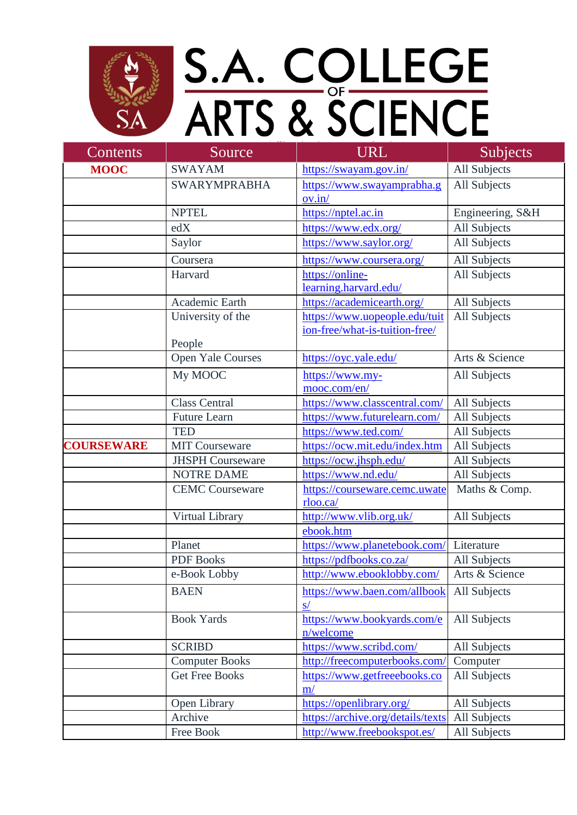

## S.A. COLLEGE<br>ARTS & SCIENCE

| Contents          | Source                  | <b>URL</b>                        | <b>Subjects</b>     |
|-------------------|-------------------------|-----------------------------------|---------------------|
| <b>MOOC</b>       | <b>SWAYAM</b>           | https://swayam.gov.in/            | All Subjects        |
|                   | <b>SWARYMPRABHA</b>     | https://www.swayamprabha.g        | All Subjects        |
|                   |                         | ov.in/                            |                     |
|                   | <b>NPTEL</b>            | https://nptel.ac.in               | Engineering, S&H    |
|                   | edX                     | https://www.edx.org/              | All Subjects        |
|                   | Saylor                  | https://www.saylor.org/           | All Subjects        |
|                   | Coursera                | https://www.coursera.org/         | All Subjects        |
|                   | Harvard                 | https://online-                   | All Subjects        |
|                   |                         | learning.harvard.edu/             |                     |
|                   | Academic Earth          | https://academicearth.org/        | All Subjects        |
|                   | University of the       | https://www.uopeople.edu/tuit     | All Subjects        |
|                   |                         | ion-free/what-is-tuition-free/    |                     |
|                   | People                  |                                   |                     |
|                   | Open Yale Courses       | https://oyc.yale.edu/             | Arts & Science      |
|                   | My MOOC                 | https://www.my-                   | All Subjects        |
|                   |                         | mooc.com/en/                      |                     |
|                   | <b>Class Central</b>    | https://www.classcentral.com/     | All Subjects        |
|                   | <b>Future Learn</b>     | https://www.futurelearn.com/      | All Subjects        |
|                   | <b>TED</b>              | https://www.ted.com/              | All Subjects        |
| <b>COURSEWARE</b> | <b>MIT Courseware</b>   | https://ocw.mit.edu/index.htm     | All Subjects        |
|                   | <b>JHSPH Courseware</b> | https://ocw.jhsph.edu/            | All Subjects        |
|                   | <b>NOTRE DAME</b>       | https://www.nd.edu/               | All Subjects        |
|                   | <b>CEMC Courseware</b>  | https://courseware.cemc.uwate     | Maths & Comp.       |
|                   |                         | rloo.ca/                          |                     |
|                   | Virtual Library         | http://www.vlib.org.uk/           | All Subjects        |
|                   |                         | ebook.htm                         |                     |
|                   | Planet                  | https://www.planetebook.com/      | Literature          |
|                   | <b>PDF</b> Books        | https://pdfbooks.co.za/           | All Subjects        |
|                   | e-Book Lobby            | http://www.ebooklobby.com/        | Arts & Science      |
|                   | <b>BAEN</b>             | https://www.baen.com/allbook      | All Subjects        |
|                   |                         | s/                                |                     |
|                   | <b>Book Yards</b>       | https://www.bookyards.com/e       | All Subjects        |
|                   |                         | n/welcome                         |                     |
|                   | <b>SCRIBD</b>           | https://www.scribd.com/           | All Subjects        |
|                   | <b>Computer Books</b>   | http://freecomputerbooks.com/     | Computer            |
|                   | <b>Get Free Books</b>   | https://www.getfreeebooks.co      | All Subjects        |
|                   |                         | m/                                |                     |
|                   | Open Library            | https://openlibrary.org/          | All Subjects        |
|                   | Archive                 | https://archive.org/details/texts | All Subjects        |
|                   | Free Book               | http://www.freebookspot.es/       | <b>All Subjects</b> |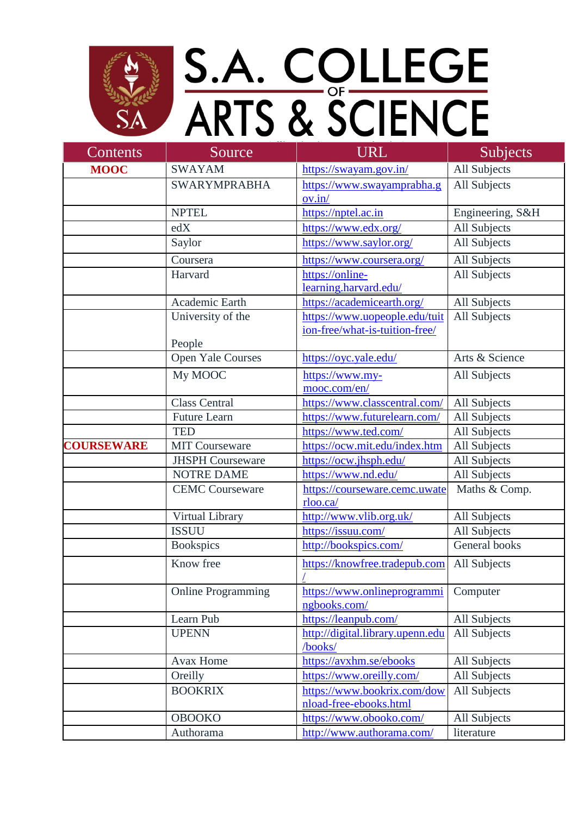

## S.A. COLLEGE<br>ARTS & SCIENCE

| Contents          | Source                    | <b>URL</b>                       | Subjects         |
|-------------------|---------------------------|----------------------------------|------------------|
| <b>MOOC</b>       | <b>SWAYAM</b>             | https://swayam.gov.in/           | All Subjects     |
|                   | <b>SWARYMPRABHA</b>       | https://www.swayamprabha.g       | All Subjects     |
|                   |                           | ov.in/                           |                  |
|                   | <b>NPTEL</b>              | https://nptel.ac.in              | Engineering, S&H |
|                   | edX                       | https://www.edx.org/             | All Subjects     |
|                   | Saylor                    | https://www.saylor.org/          | All Subjects     |
|                   | Coursera                  | https://www.coursera.org/        | All Subjects     |
|                   | Harvard                   | https://online-                  | All Subjects     |
|                   |                           | learning.harvard.edu/            |                  |
|                   | Academic Earth            | https://academicearth.org/       | All Subjects     |
|                   | University of the         | https://www.uopeople.edu/tuit    | All Subjects     |
|                   |                           | ion-free/what-is-tuition-free/   |                  |
|                   | People                    |                                  |                  |
|                   | <b>Open Yale Courses</b>  | https://oyc.yale.edu/            | Arts & Science   |
|                   | My MOOC                   | https://www.my-                  | All Subjects     |
|                   |                           | mooc.com/en/                     |                  |
|                   | <b>Class Central</b>      | https://www.classcentral.com/    | All Subjects     |
|                   | <b>Future Learn</b>       | https://www.futurelearn.com/     | All Subjects     |
|                   | <b>TED</b>                | https://www.ted.com/             | All Subjects     |
| <b>COURSEWARE</b> | <b>MIT Courseware</b>     | https://ocw.mit.edu/index.htm    | All Subjects     |
|                   | <b>JHSPH Courseware</b>   | https://ocw.jhsph.edu/           | All Subjects     |
|                   | <b>NOTRE DAME</b>         | https://www.nd.edu/              | All Subjects     |
|                   | <b>CEMC Courseware</b>    | https://courseware.cemc.uwate    | Maths & Comp.    |
|                   |                           | rloo.ca/                         |                  |
|                   | Virtual Library           | http://www.vlib.org.uk/          | All Subjects     |
|                   | <b>ISSUU</b>              | https://issuu.com/               | All Subjects     |
|                   | <b>Bookspics</b>          | http://bookspics.com/            | General books    |
|                   | Know free                 | https://knowfree.tradepub.com    | All Subjects     |
|                   |                           |                                  |                  |
|                   | <b>Online Programming</b> | https://www.onlineprogrammi      | Computer         |
|                   |                           | ngbooks.com/                     |                  |
|                   | Learn Pub                 | https://leanpub.com/             | All Subjects     |
|                   | <b>UPENN</b>              | http://digital.library.upenn.edu | All Subjects     |
|                   |                           | /books/                          |                  |
|                   | Avax Home                 | https://avxhm.se/ebooks          | All Subjects     |
|                   | Oreilly                   | https://www.oreilly.com/         | All Subjects     |
|                   | <b>BOOKRIX</b>            | https://www.bookrix.com/dow      | All Subjects     |
|                   |                           | nload-free-ebooks.html           |                  |
|                   | <b>OBOOKO</b>             | https://www.obooko.com/          | All Subjects     |
|                   | Authorama                 | http://www.authorama.com/        | literature       |